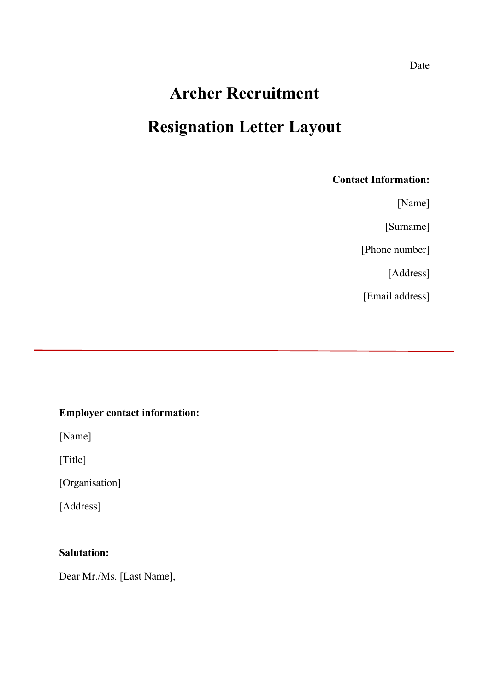# **Archer Recruitment Resignation Letter Layout**

## **Contact Information:**

[Name]

[Surname]

[Phone number]

[Address]

[Email address]

# **Employer contact information:**

[Name]

[Title]

[Organisation]

[Address]

# **Salutation:**

Dear Mr./Ms. [Last Name],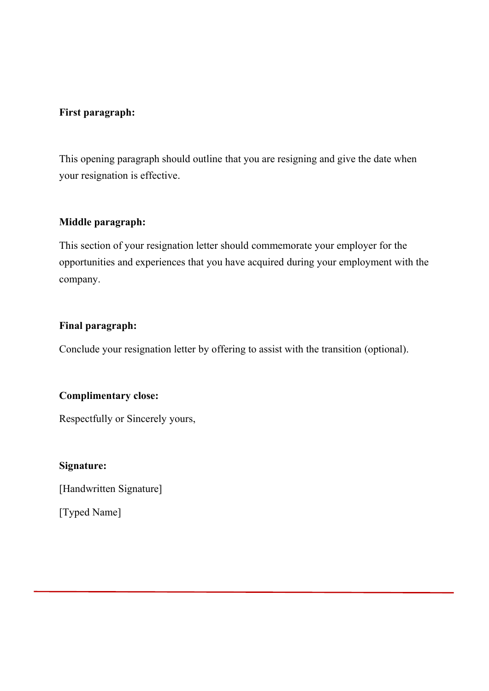### **First paragraph:**

This opening paragraph should outline that you are resigning and give the date when your resignation is effective.

## **Middle paragraph:**

This section of your resignation letter should commemorate your employer for the opportunities and experiences that you have acquired during your employment with the company.

#### **Final paragraph:**

Conclude your resignation letter by offering to assist with the transition (optional).

## **Complimentary close:**

Respectfully or Sincerely yours,

#### **Signature:**

[Handwritten Signature]

[Typed Name]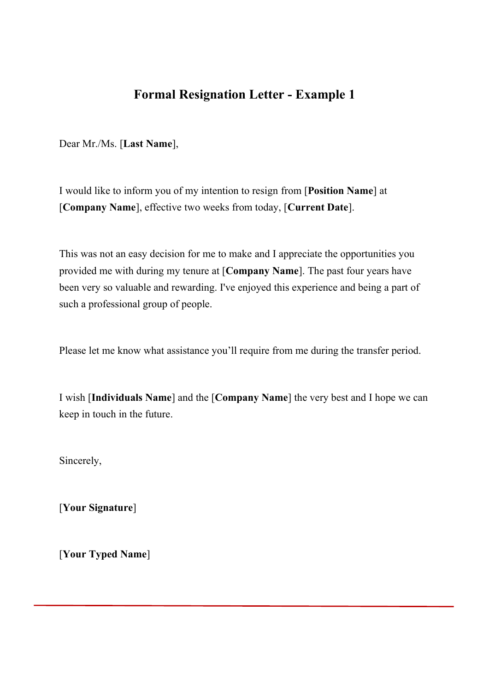# **Formal Resignation Letter - Example 1**

Dear Mr./Ms. [**Last Name**],

I would like to inform you of my intention to resign from [**Position Name**] at [**Company Name**], effective two weeks from today, [**Current Date**].

This was not an easy decision for me to make and I appreciate the opportunities you provided me with during my tenure at [**Company Name**]. The past four years have been very so valuable and rewarding. I've enjoyed this experience and being a part of such a professional group of people.

Please let me know what assistance you'll require from me during the transfer period.

I wish [**Individuals Name**] and the [**Company Name**] the very best and I hope we can keep in touch in the future.

Sincerely,

[**Your Signature**]

[**Your Typed Name**]